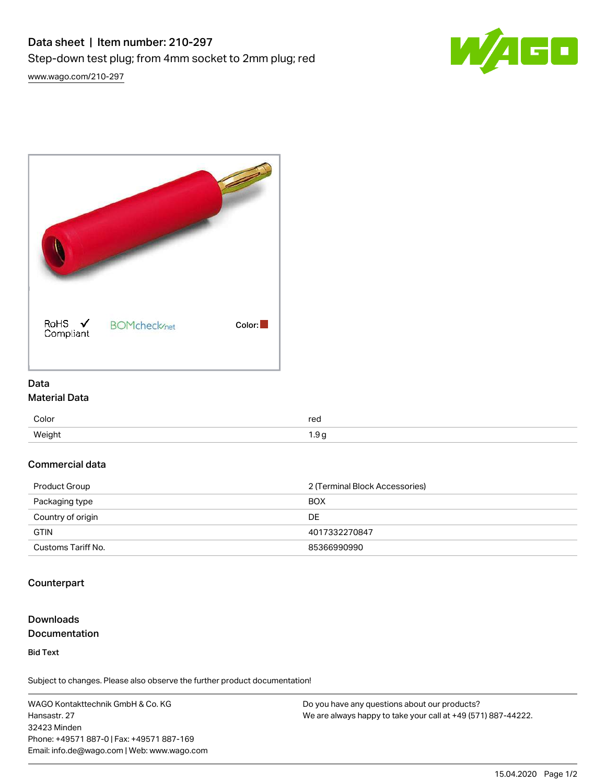



#### Data Material Data

| Color  | rea<br>$\cdot$ - $\cdot$ |
|--------|--------------------------|
| Weight | .9c<br>a                 |

## Commercial data

| Product Group      | 2 (Terminal Block Accessories) |
|--------------------|--------------------------------|
| Packaging type     | <b>BOX</b>                     |
| Country of origin  | DE.                            |
| <b>GTIN</b>        | 4017332270847                  |
| Customs Tariff No. | 85366990990                    |

## **Counterpart**

## Downloads **Documentation**

Bid Text

Subject to changes. Please also observe the further product documentation!

WAGO Kontakttechnik GmbH & Co. KG Hansastr. 27 32423 Minden Phone: +49571 887-0 | Fax: +49571 887-169 Email: info.de@wago.com | Web: www.wago.com

Do you have any questions about our products? We are always happy to take your call at +49 (571) 887-44222.